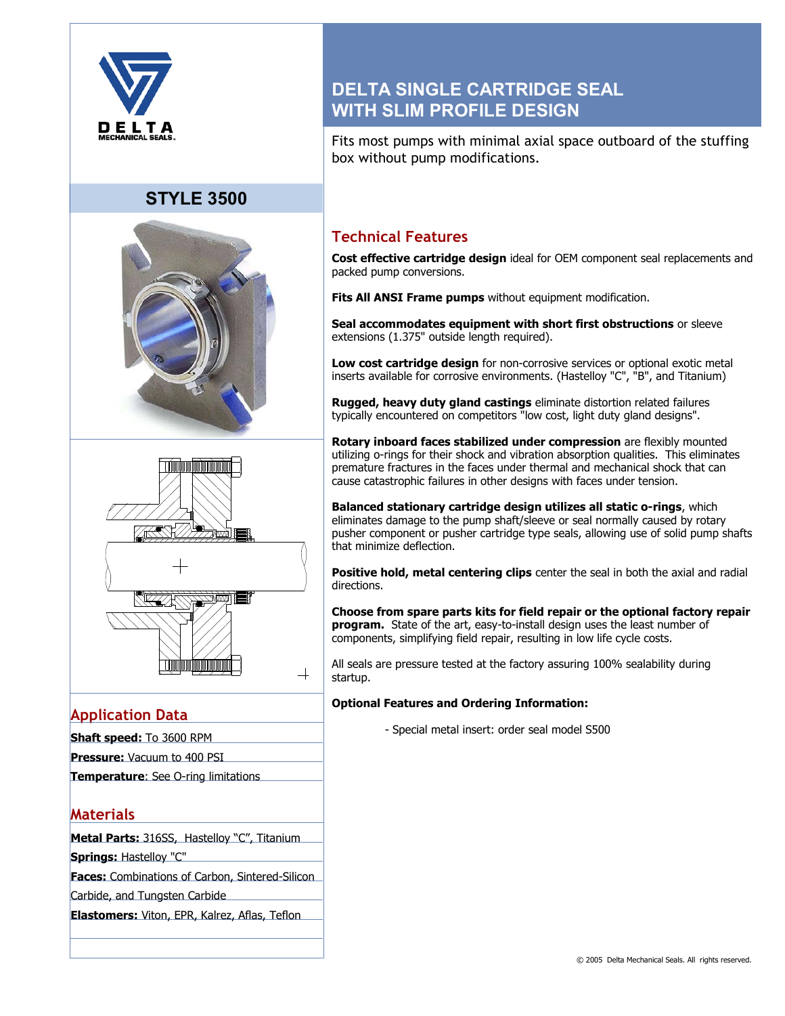

# **STYLE 3500**





# **Application Data**

- **Shaft speed:** To 3600 RPM
- **Pressure:** Vacuum to 400 PSI
- **Temperature**: See O-ring limitations

## **Materials**

**Metal Parts:** 316SS, Hastelloy "C", Titanium

**Springs:** Hastelloy "C"

**Faces:** Combinations of Carbon, Sintered-Silicon

Carbide, and Tungsten Carbide

**Elastomers:** Viton, EPR, Kalrez, Aflas, Teflon

# **DELTA SINGLE CARTRIDGE SEAL WITH SLIM PROFILE DESIGN**

Fits most pumps with minimal axial space outboard of the stuffing box without pump modifications.

## **Technical Features**

**Cost effective cartridge design** ideal for OEM component seal replacements and packed pump conversions.

**Fits All ANSI Frame pumps** without equipment modification.

**Seal accommodates equipment with short first obstructions** or sleeve extensions (1.375" outside length required).

**Low cost cartridge design** for non-corrosive services or optional exotic metal inserts available for corrosive environments. (Hastelloy "C", "B", and Titanium)

**Rugged, heavy duty gland castings** eliminate distortion related failures typically encountered on competitors "low cost, light duty gland designs".

**Rotary inboard faces stabilized under compression** are flexibly mounted utilizing o-rings for their shock and vibration absorption qualities. This eliminates premature fractures in the faces under thermal and mechanical shock that can cause catastrophic failures in other designs with faces under tension.

**Balanced stationary cartridge design utilizes all static o-rings**, which eliminates damage to the pump shaft/sleeve or seal normally caused by rotary pusher component or pusher cartridge type seals, allowing use of solid pump shafts that minimize deflection.

**Positive hold, metal centering clips** center the seal in both the axial and radial directions.

**Choose from spare parts kits for field repair or the optional factory repair program.** State of the art, easy-to-install design uses the least number of components, simplifying field repair, resulting in low life cycle costs.

All seals are pressure tested at the factory assuring 100% sealability during startup.

### **Optional Features and Ordering Information:**

- Special metal insert: order seal model S500